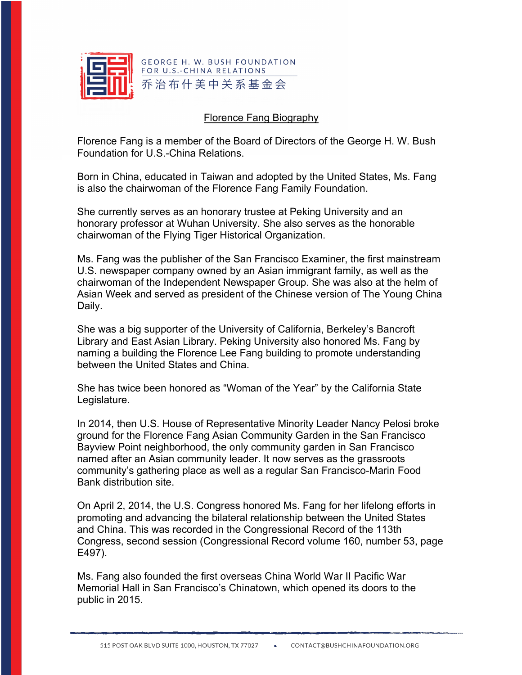

## Florence Fang Biography

Florence Fang is a member of the Board of Directors of the George H. W. Bush Foundation for U.S.-China Relations.

Born in China, educated in Taiwan and adopted by the United States, Ms. Fang is also the chairwoman of the Florence Fang Family Foundation.

She currently serves as an honorary trustee at Peking University and an honorary professor at Wuhan University. She also serves as the honorable chairwoman of the Flying Tiger Historical Organization.

Ms. Fang was the publisher of the San Francisco Examiner, the first mainstream U.S. newspaper company owned by an Asian immigrant family, as well as the chairwoman of the Independent Newspaper Group. She was also at the helm of Asian Week and served as president of the Chinese version of The Young China Daily.

She was a big supporter of the University of California, Berkeley's Bancroft Library and East Asian Library. Peking University also honored Ms. Fang by naming a building the Florence Lee Fang building to promote understanding between the United States and China.

She has twice been honored as "Woman of the Year" by the California State Legislature.

In 2014, then U.S. House of Representative Minority Leader Nancy Pelosi broke ground for the Florence Fang Asian Community Garden in the San Francisco Bayview Point neighborhood, the only community garden in San Francisco named after an Asian community leader. It now serves as the grassroots community's gathering place as well as a regular San Francisco-Marin Food Bank distribution site.

On April 2, 2014, the U.S. Congress honored Ms. Fang for her lifelong efforts in promoting and advancing the bilateral relationship between the United States and China. This was recorded in the Congressional Record of the 113th Congress, second session (Congressional Record volume 160, number 53, page E497).

Ms. Fang also founded the first overseas China World War II Pacific War Memorial Hall in San Francisco's Chinatown, which opened its doors to the public in 2015.